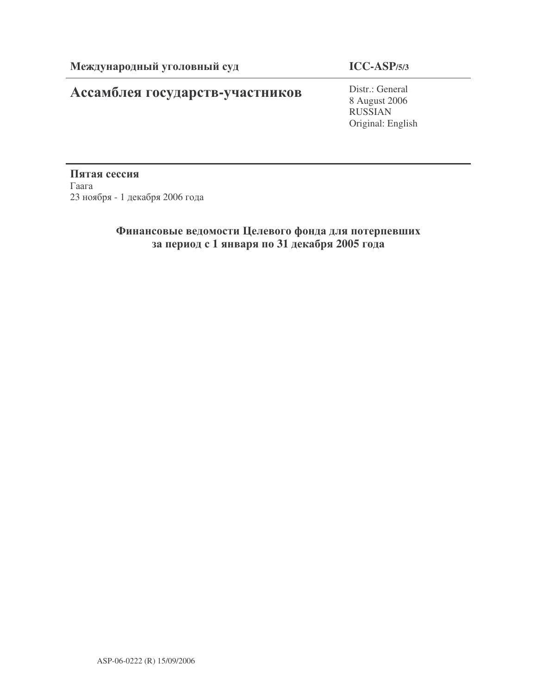# Ассамблея государств-участников

**ICC-ASP/5/3**

Distr.: General 8 August 2006 RUSSIAN Original: English

Пятая сессия  $\Gamma$ аага 23 ноября - 1 декабря 2006 года

# Финансовые ведомости Целевого фонда для потерпевших за период с 1 января по 31 декабря 2005 года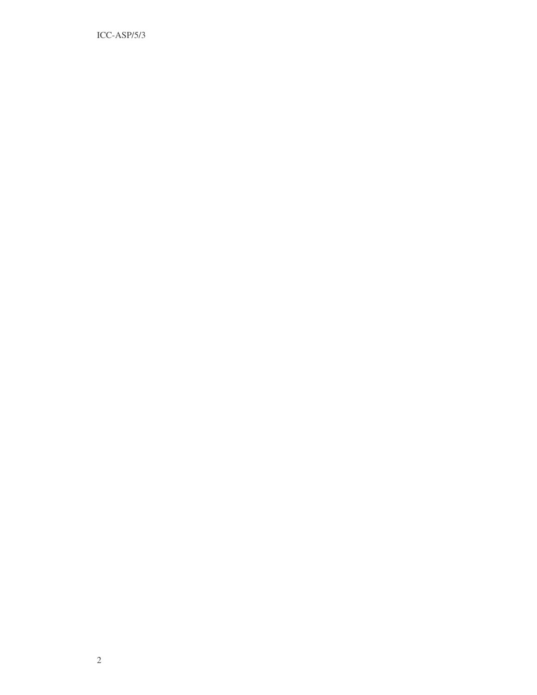ICC-ASP/5/3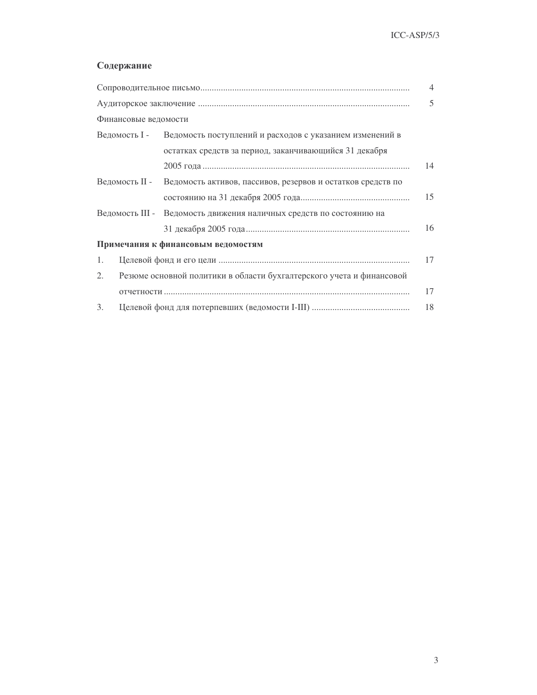# Содержание

|                |                      |                                                                      | $\overline{4}$ |
|----------------|----------------------|----------------------------------------------------------------------|----------------|
|                |                      |                                                                      | 5              |
|                | Финансовые ведомости |                                                                      |                |
|                | Ведомость I -        | Ведомость поступлений и расходов с указанием изменений в             |                |
|                |                      | остатках средств за период, заканчивающийся 31 декабря               |                |
|                |                      |                                                                      | 14             |
| Ведомость II - |                      | Ведомость активов, пассивов, резервов и остатков средств по          |                |
|                |                      |                                                                      | 15             |
|                | Ведомость III -      | Ведомость движения наличных средств по состоянию на                  |                |
|                |                      |                                                                      | 16             |
|                |                      | Примечания к финансовым ведомостям                                   |                |
| 1.             |                      |                                                                      | 17             |
| 2.             |                      | Резюме основной политики в области бухгалтерского учета и финансовой |                |
|                |                      |                                                                      | 17             |
| 3.             |                      |                                                                      | 18             |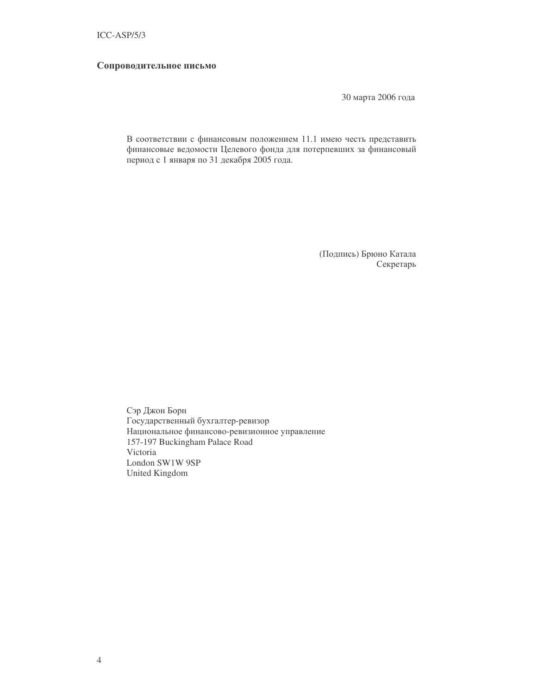### Сопроводительное письмо

30 марта 2006 года

В соответствии с финансовым положением 11.1 имею честь представить финансовые ведомости Целевого фонда для потерпевших за финансовый период с 1 января по 31 декабря 2005 года.

> (Подпись) Брюно Катала Секретарь

Сэр Джон Борн Государственный бухгалтер-ревизор Национальное финансово-ревизионное управление 157-197 Buckingham Palace Road Victoria London SW1W 9SP United Kingdom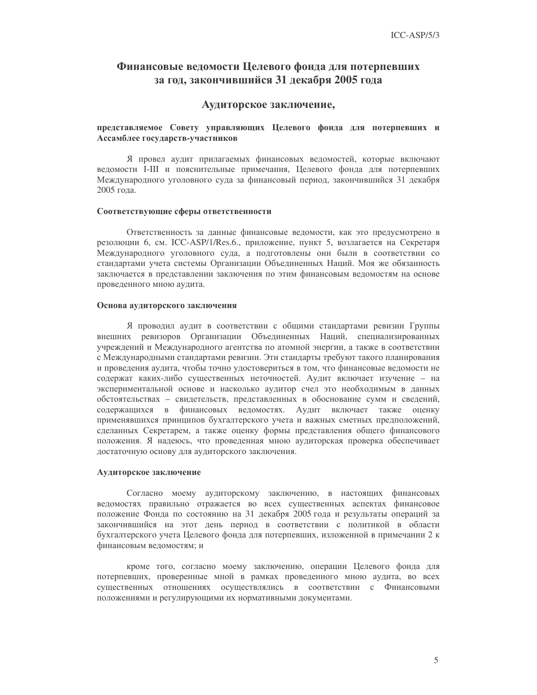## Финансовые ведомости Целевого фонда для потерпевших за год, закончившийся 31 декабря 2005 года

#### Аудиторское заключение,

#### представляемое Совету управляющих Целевого фонда для потерпевших и Ассамблее государств-участников

Я провел аудит прилагаемых финансовых ведомостей, которые включают ведомости I-III и пояснительные примечания, Целевого фонда для потерпевших Международного уголовного суда за финансовый период, закончившийся 31 декабря 2005 года.

#### Соответствующие сферы ответственности

Ответственность за данные финансовые ведомости, как это предусмотрено в резолюции 6, см. ICC-ASP/1/Res.6., приложение, пункт 5, возлагается на Секретаря Международного уголовного суда, а подготовлены они были в соответствии со стандартами учета системы Организации Объединенных Наций. Моя же обязанность заключается в представлении заключения по этим финансовым ведомостям на основе проведенного мною аудита.

#### Основа аудиторского заключения

Я проводил аудит в соответствии с общими стандартами ревизии Группы внешних ревизоров Организации Объединенных Наций, специализированных учреждений и Международного агентства по атомной энергии, а также в соответствии с Международными стандартами ревизии. Эти стандарты требуют такого планирования и проведения аудита, чтобы точно удостовериться в том, что финансовые ведомости не содержат каких-либо существенных неточностей. Аудит включает изучение - на экспериментальной основе и насколько аудитор счел это необходимым в данных обстоятельствах - свидетельств, представленных в обоснование сумм и сведений, содержащихся в финансовых ведомостях. Аудит включает также оценку применявшихся принципов бухгалтерского учета и важных сметных предположений, сделанных Секретарем, а также оценку формы представления общего финансового положения. Я надеюсь, что проведенная мною аудиторская проверка обеспечивает достаточную основу для аудиторского заключения.

#### Аудиторское заключение

Согласно моему аудиторскому заключению, в настоящих финансовых ведомостях правильно отражается во всех существенных аспектах финансовое положение Фонда по состоянию на 31 декабря 2005 года и результаты операций за закончившийся на этот день период в соответствии с политикой в области бухгалтерского учета Целевого фонда для потерпевших, изложенной в примечании 2 к финансовым ведомостям; и

кроме того, согласно моему заключению, операции Целевого фонда для потерпевших, проверенные мной в рамках проведенного мною аудита, во всех существенных отношениях осуществлялись в соответствии с Финансовыми положениями и регулирующими их нормативными документами.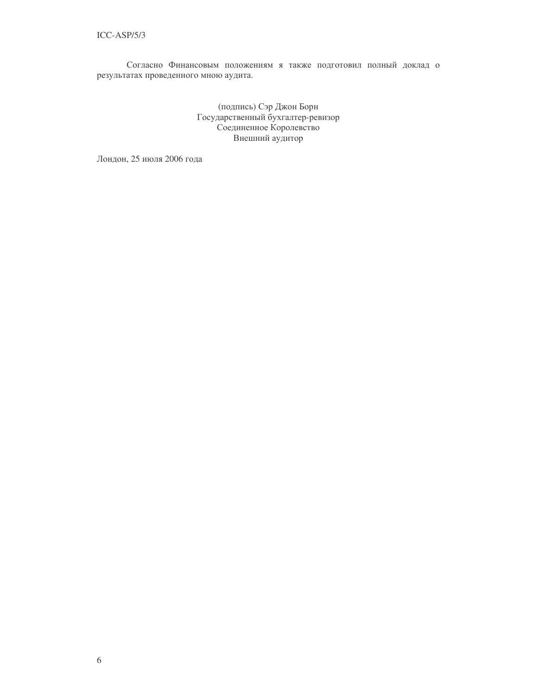Согласно Финансовым положениям я также подготовил полный доклад о результатах проведенного мною аудита.

> (подпись) Сэр Джон Борн<br>Государственный бухгалтер-ревизор Соединенное Королевство Внешний аудитор

Лондон, 25 июля 2006 года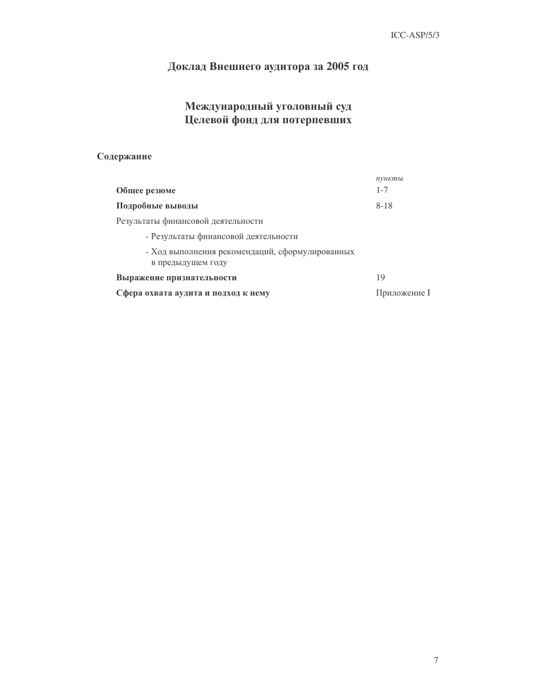# Доклад Внешнего аудитора за 2005 год

# Международный уголовный суд Целевой фонд для потерпевших

# Содержание

|                                                                      | пункты       |
|----------------------------------------------------------------------|--------------|
| Общее резюме                                                         | $1 - 7$      |
| Подробные выводы                                                     | $8 - 18$     |
| Результаты финансовой деятельности                                   |              |
| - Результаты финансовой деятельности                                 |              |
| - Ход выполнения рекомендаций, сформулированных<br>в предыдущем году |              |
| Выражение признательности                                            | 19           |
| Сфера охвата аудита и подход к нему                                  | Приложение I |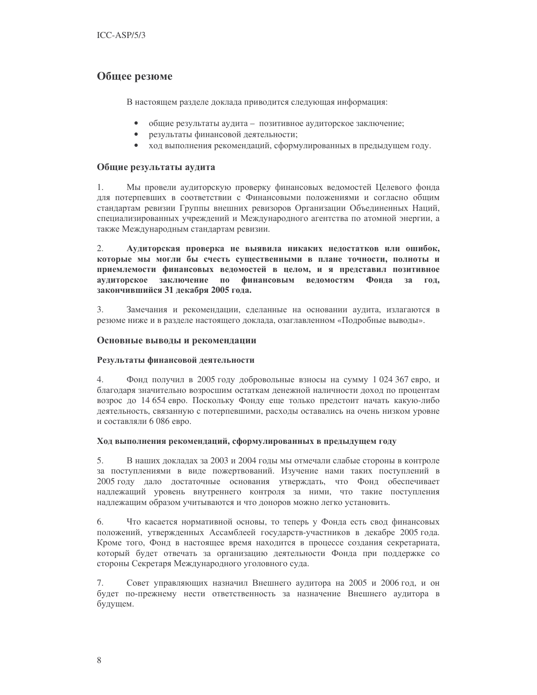## Общее резюме

В настоящем разделе доклада приводится следующая информация:

- общие результаты аудита позитивное аудиторское заключение;
- результаты финансовой деятельности;
- ход выполнения рекомендаций, сформулированных в предыдущем году.

### Общие результаты аудита

1. Мы провели аудиторскую проверку финансовых ведомостей Целевого фонда для потерпевших в соответствии с Финансовыми положениями и согласно общим стандартам ревизии Группы внешних ревизоров Организации Объединенных Наций, специализированных учреждений и Международного агентства по атомной энергии, а также Международным стандартам ревизии.

 $2.$ Аудиторская проверка не выявила никаких недостатков или ошибок, которые мы могли бы счесть существенными в плане точности, полноты и приемлемости финансовых ведомостей в целом, и я представил позитивное аудиторское заключение по финансовым ведомостям Фонда **32** год, закончившийся 31 декабря 2005 года.

Замечания и рекомендации, сделанные на основании аудита, излагаются в 3. резюме ниже и в разделе настоящего доклада, озаглавленном «Подробные выводы».

#### Основные выводы и рекомендации

#### Результаты финансовой деятельности

 $\overline{4}$ . Фонд получил в 2005 году добровольные взносы на сумму 1 024 367 евро, и благодаря значительно возросшим остаткам денежной наличности доход по процентам возрос до 14 654 евро. Поскольку Фонду еще только предстоит начать какую-либо деятельность, связанную с потерпевшими, расходы оставались на очень низком уровне и составляли 6 086 евро.

#### Ход выполнения рекомендаций, сформулированных в предыдущем году

5. В наших докладах за 2003 и 2004 годы мы отмечали слабые стороны в контроле за поступлениями в виде пожертвований. Изучение нами таких поступлений в 2005 году дало достаточные основания утверждать, что Фонд обеспечивает надлежащий уровень внутреннего контроля за ними, что такие поступления надлежащим образом учитываются и что доноров можно легко установить.

6. Что касается нормативной основы, то теперь у Фонда есть свод финансовых положений, утвержденных Ассамблеей государств-участников в декабре 2005 года. Кроме того, Фонд в настоящее время находится в процессе создания секретариата, который будет отвечать за организацию деятельности Фонда при поддержке со стороны Секретаря Международного уголовного суда.

7. Совет управляющих назначил Внешнего аудитора на 2005 и 2006 год, и он будет по-прежнему нести ответственность за назначение Внешнего аудитора в будущем.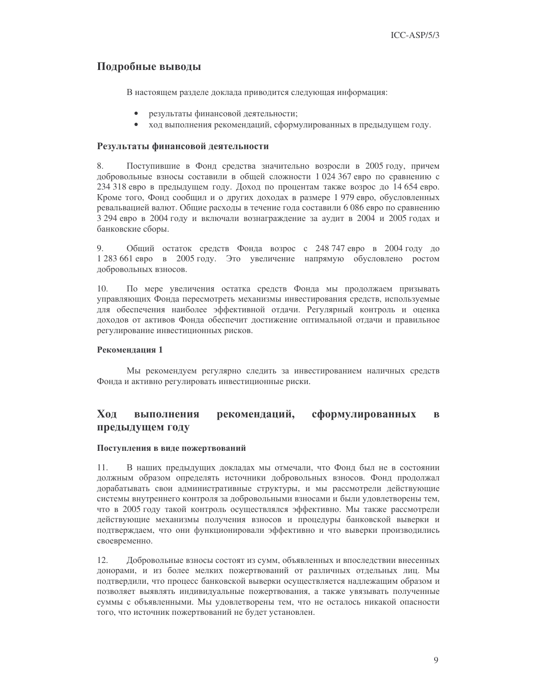# Подробные выводы

В настоящем разделе доклада приводится следующая информация:

- результаты финансовой деятельности;
- ход выполнения рекомендаций, сформулированных в предыдущем году.

#### Результаты финансовой деятельности

8. Поступившие в Фонд средства значительно возросли в 2005 году, причем добровольные взносы составили в общей сложности 1024 367 евро по сравнению с 234 318 евро в предыдущем году. Доход по процентам также возрос до 14 654 евро. Кроме того, Фонд сообщил и о других доходах в размере 1979 евро, обусловленных ревальвацией валют. Общие расходы в течение года составили 6 086 евро по сравнению 3 294 евро в 2004 году и включали вознаграждение за аудит в 2004 и 2005 годах и банковские сборы.

Общий остаток средств Фонда возрос с 248 747 евро в 2004 году до 9. 1 283 661 евро в 2005 году. Это увеличение напрямую обусловлено ростом добровольных взносов.

По мере увеличения остатка средств Фонда мы продолжаем призывать  $10<sup>1</sup>$ управляющих Фонда пересмотреть механизмы инвестирования средств, используемые для обеспечения наиболее эффективной отдачи. Регулярный контроль и оценка доходов от активов Фонда обеспечит достижение оптимальной отдачи и правильное регулирование инвестиционных рисков.

#### Рекомендация 1

Мы рекомендуем регулярно следить за инвестированием наличных средств Фонда и активно регулировать инвестиционные риски.

#### $X$ ол выполнения рекомендаций, сформулированных  $\mathbf{B}$ предыдущем году

#### Поступления в виде пожертвований

В наших предыдущих докладах мы отмечали, что Фонд был не в состоянии 11. должным образом определять источники добровольных взносов. Фонд продолжал дорабатывать свои административные структуры, и мы рассмотрели действующие системы внутреннего контроля за добровольными взносами и были удовлетворены тем, что в 2005 году такой контроль осуществлялся эффективно. Мы также рассмотрели действующие механизмы получения взносов и процедуры банковской выверки и подтверждаем, что они функционировали эффективно и что выверки производились своевременно.

12. Добровольные взносы состоят из сумм, объявленных и впоследствии внесенных донорами, и из более мелких пожертвований от различных отдельных лиц. Мы подтвердили, что процесс банковской выверки осуществляется надлежащим образом и позволяет выявлять индивидуальные пожертвования, а также увязывать полученные суммы с объявленными. Мы удовлетворены тем, что не осталось никакой опасности того, что источник пожертвований не будет установлен.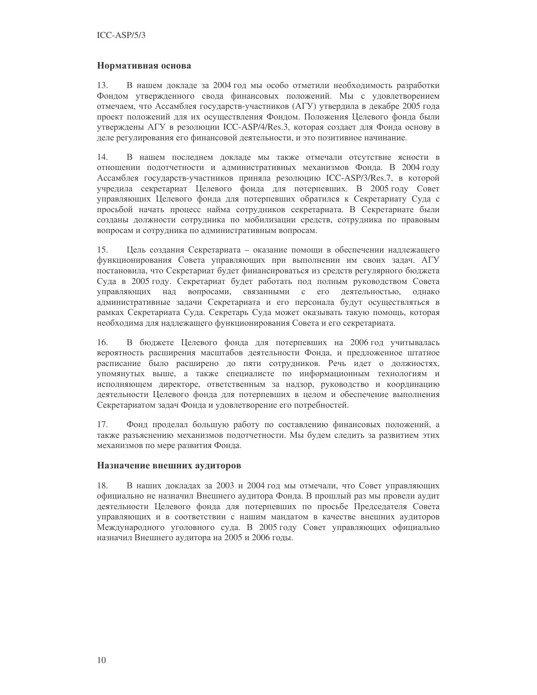### Нормативная основа

13. В нашем докладе за 2004 год мы особо отметили необходимость разработки Фондом утвержденного свода финансовых положений. Мы с удовлетворением отмечаем, что Ассамблея государств-участников (АГУ) утвердила в декабре 2005 года проект положений для их осуществления Фондом. Положения Целевого фонда были утверждены АГУ в резолюции ICC-ASP/4/Res.3, которая создает для Фонда основу в деле регулирования его финансовой деятельности, и это позитивное начинание.

14. В нашем последнем докладе мы также отмечали отсутствие ясности в отношении подотчетности и административных механизмов Фонда. В 2004 году Ассамблея государств-участников приняла резолюцию ICC-ASP/3/Res.7, в которой учредила секретариат Целевого фонда для потерпевших. В 2005 году Совет управляющих Целевого фонда для потерпевших обратился к Секретариату Суда с просьбой начать процесс найма сотрудников секретариата. В Секретариате были созданы должности сотрудника по мобилизации средств, сотрудника по правовым вопросам и сотрудника по административным вопросам.

15. Цель создания Секретариата - оказание помощи в обеспечении надлежащего функционирования Совета управляющих при выполнении им своих задач. АГУ постановила, что Секретариат будет финансироваться из средств регулярного бюджета Суда в 2005 году. Секретариат будет работать под полным руководством Совета управляющих над вопросами, связанными с его деятельностью, однако административные задачи Секретариата и его персонала будут осуществляться в рамках Секретариата Суда. Секретарь Суда может оказывать такую помощь, которая необходима для надлежащего функционирования Совета и его секретариата.

16. В бюджете Целевого фонда для потерпевших на 2006 год учитывалась вероятность расширения масштабов деятельности Фонда, и предложенное штатное расписание было расширено до пяти сотрудников. Речь идет о должностях, упомянутых выше, а также специалисте по информационным технологиям и исполняющем директоре, ответственным за надзор, руководство и координацию деятельности Целевого фонда для потерпевших в целом и обеспечение выполнения Секретариатом задач Фонда и удовлетворение его потребностей.

Фонд проделал большую работу по составлению финансовых положений, а 17. также разъяснению механизмов подотчетности. Мы будем следить за развитием этих механизмов по мере развития Фонда.

#### Назначение внешних аудиторов

18. В наших докладах за 2003 и 2004 год мы отмечали, что Совет управляющих официально не назначил Внешнего аудитора Фонда. В прошлый раз мы провели аудит деятельности Целевого фонда для потерпевших по просьбе Председателя Совета управляющих и в соответствии с нашим мандатом в качестве внешних аудиторов Международного уголовного суда. В 2005 году Совет управляющих официально назначил Внешнего аудитора на 2005 и 2006 годы.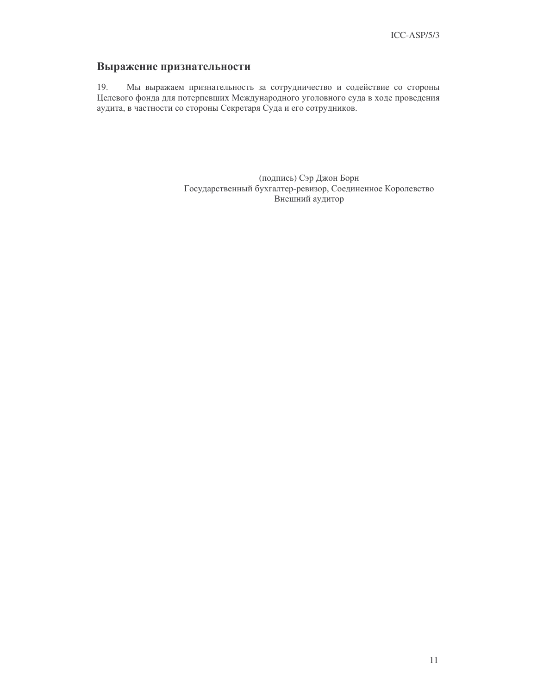## Выражение признательности

19. Мы выражаем признательность за сотрудничество и содействие со стороны Целевого фонда для потерпевших Международного уголовного суда в ходе проведения аудита, в частности со стороны Секретаря Суда и его сотрудников.

> (подпись) Сэр Джон Борн Государственный бухгалтер-ревизор, Соединенное Королевство Внешний аудитор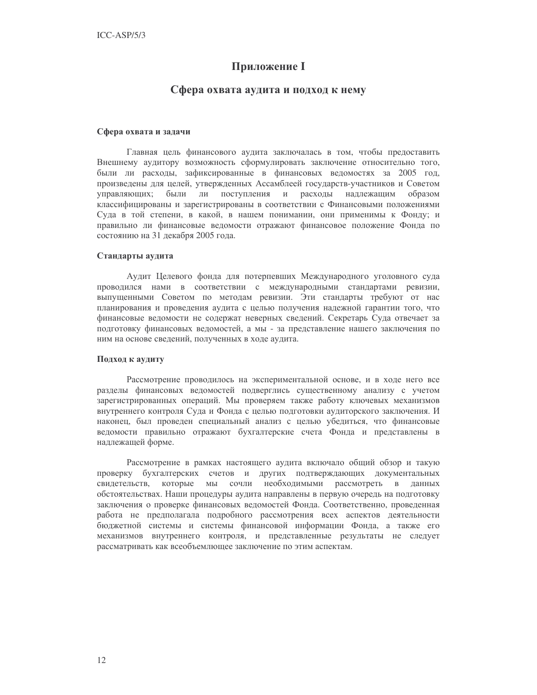## **Приложение I**

### Сфера охвата аудита и подход к нему

#### Сфера охвата и задачи

Главная цель финансового аудита заключалась в том, чтобы предоставить Внешнему аудитору возможность сформулировать заключение относительно того, были ли расходы, зафиксированные в финансовых ведомостях за 2005 год, произведены для целей, утвержденных Ассамблеей государств-участников и Советом управляющих; были ли поступления и расходы надлежащим образом классифицированы и зарегистрированы в соответствии с Финансовыми положениями Суда в той степени, в какой, в нашем понимании, они применимы к Фонду; и правильно ли финансовые ведомости отражают финансовое положение Фонда по состоянию на 31 декабря 2005 года.

#### Стандарты аудита

Аудит Целевого фонда для потерпевших Международного уголовного суда проводился нами в соответствии с международными стандартами ревизии, выпущенными Советом по методам ревизии. Эти стандарты требуют от нас планирования и проведения аудита с целью получения надежной гарантии того, что финансовые ведомости не содержат неверных сведений. Секретарь Суда отвечает за подготовку финансовых ведомостей, а мы - за представление нашего заключения по ним на основе сведений, полученных в ходе аудита.

#### Подход к аудиту

Рассмотрение проводилось на экспериментальной основе, и в ходе него все разделы финансовых ведомостей подверглись существенному анализу с учетом зарегистрированных операций. Мы проверяем также работу ключевых механизмов внутреннего контроля Суда и Фонда с целью подготовки аудиторского заключения. И наконец, был проведен специальный анализ с целью убедиться, что финансовые ведомости правильно отражают бухгалтерские счета Фонда и представлены в надлежащей форме.

Рассмотрение в рамках настоящего аудита включало общий обзор и такую проверку бухгалтерских счетов и других подтверждающих документальных свидетельств, которые мы сочли необходимыми рассмотреть в данных обстоятельствах. Наши процедуры аудита направлены в первую очередь на подготовку заключения о проверке финансовых ведомостей Фонда. Соответственно, проведенная работа не предполагала подробного рассмотрения всех аспектов деятельности бюджетной системы и системы финансовой информации Фонда, а также его механизмов внутреннего контроля, и представленные результаты не следует рассматривать как всеобъемлющее заключение по этим аспектам.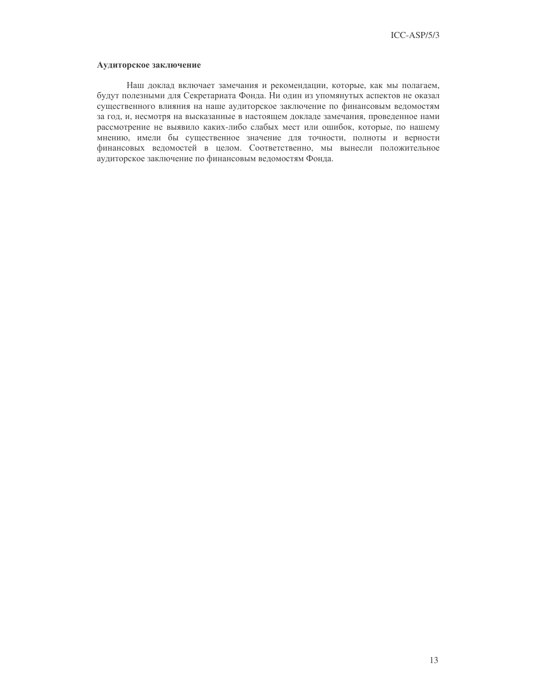#### Аудиторское заключение

Наш доклад включает замечания и рекомендации, которые, как мы полагаем, будут полезными для Секретариата Фонда. Ни один из упомянутых аспектов не оказал существенного влияния на наше аудиторское заключение по финансовым ведомостям за год, и, несмотря на высказанные в настоящем докладе замечания, проведенное нами рассмотрение не выявило каких-либо слабых мест или ошибок, которые, по нашему мнению, имели бы существенное значение для точности, полноты и верности финансовых ведомостей в целом. Соответственно, мы вынесли положительное аудиторское заключение по финансовым ведомостям Фонда.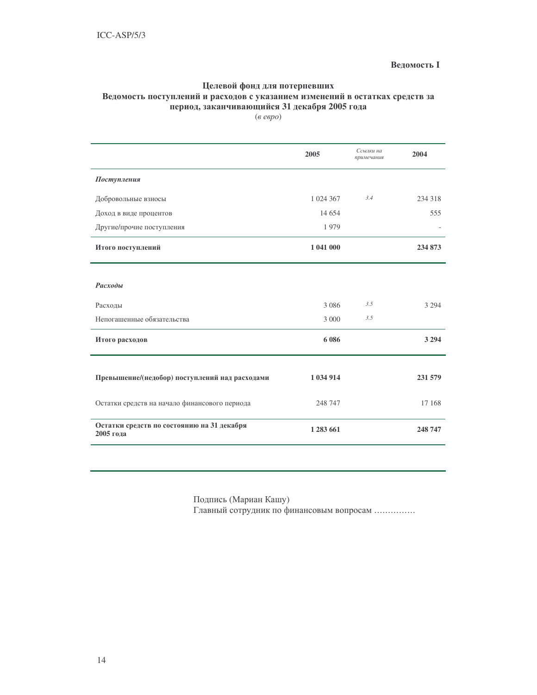#### **Ведомость I**

#### Целевой фонд для потерпевших Ведомость поступлений и расходов с указанием изменений в остатках средств за период, заканчивающийся 31 декабря 2005 года  $($ вевро $)$

|                                                         | 2005      | Ссылки на<br>примечания | 2004    |
|---------------------------------------------------------|-----------|-------------------------|---------|
| Поступления                                             |           |                         |         |
| Добровольные взносы                                     | 1 024 367 | 3.4                     | 234 318 |
| Доход в виде процентов                                  | 14 654    |                         | 555     |
| Другие/прочие поступления                               | 1979      |                         |         |
| Итого поступлений                                       | 1 041 000 |                         | 234 873 |
| Расходы                                                 |           |                         |         |
| Расходы                                                 | 3 0 8 6   | 3.5                     | 3 2 9 4 |
| Непогашенные обязательства                              | 3 0 0 0   | 3.5                     |         |
| Итого расходов                                          | 6 0 8 6   |                         | 3 2 9 4 |
| Превышение/(недобор) поступлений над расходами          | 1 034 914 |                         | 231 579 |
|                                                         |           |                         |         |
| Остатки средств на начало финансового периода           | 248 747   |                         | 17 168  |
| Остатки средств по состоянию на 31 декабря<br>2005 года | 1 283 661 |                         | 248747  |

Подпись (Мариан Кашу) Главный сотрудник по финансовым вопросам ...............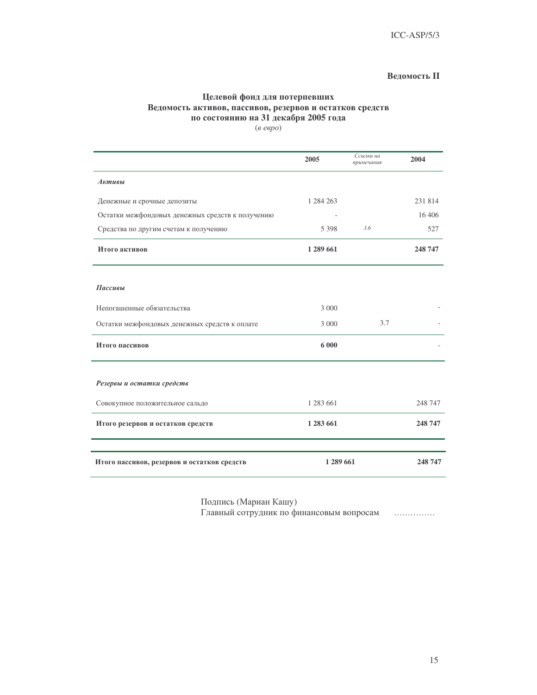#### Ведомость II

## Целевой фонд для потерпевших Ведомость активов, пассивов, резервов и остатков средств по состоянию на 31 декабря 2005 года

 $($ <sup>e $($ e $epo)$ </sup>

|                                                  | 2005      | Ссылки на<br>примечания | 2004    |
|--------------------------------------------------|-----------|-------------------------|---------|
| Активы                                           |           |                         |         |
| Денежные и срочные депозиты                      | 1 284 263 |                         | 231814  |
| Остатки межфондовых денежных средств к получению |           |                         | 16 40 6 |
| Средства по другим счетам к получению            | 5 3 9 8   | 3.6                     | 527     |
| Итого активов                                    | 1 289 661 |                         | 248747  |
| Пассивы                                          |           |                         |         |
|                                                  |           |                         |         |
| Непогашенные обязательства                       | 3 000     |                         |         |
| Остатки межфондовых денежных средств к оплате    | 3 0 0 0   | 3.7                     |         |
| Итого пассивов                                   | 6 0 0 0   |                         |         |
| Резервы и остатки средств                        |           |                         |         |
|                                                  |           |                         |         |
| Совокупное положительное сальдо                  | 1 283 661 |                         | 248 747 |
| Итого резервов и остатков средств                | 1 283 661 |                         | 248 747 |
| Итого пассивов, резервов и остатков средств      | 1 289 661 |                         | 248 747 |

Подпись (Мариан Кашу)

Главный сотрудник по финансовым вопросам ................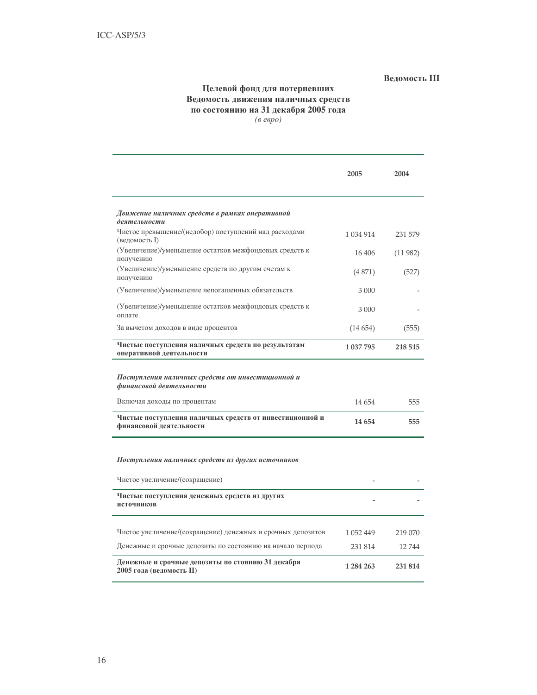### **Ведомость III**

### Целевой фонд для потерпевших Ведомость движения наличных средств по состоянию на 31 декабря 2005 года  $(eeepo)$

|                                                                                    | 2005          | 2004    |
|------------------------------------------------------------------------------------|---------------|---------|
| Движение наличных средств в рамках оперативной<br>деятельности                     |               |         |
| Чистое превышение/(недобор) поступлений над расходами<br>(ведомость I)             | 1 0 34 9 14   | 231 579 |
| (Увеличение)/уменьшение остатков межфондовых средств к<br>получению                | 16 40 6       | (11982) |
| (Увеличение)/уменьшение средств по другим счетам к<br>получению                    | (4871)        | (527)   |
| (Увеличение)/уменьшение непогашенных обязательств                                  | 3 000         |         |
| (Увеличение)/уменьшение остатков межфондовых средств к<br>оплате                   | 3 000         |         |
| За вычетом доходов в виде процентов                                                | (14654)       | (555)   |
| Чистые поступления наличных средств по результатам<br>оперативной деятельности     | 1 037 795     | 218 515 |
| Поступления наличных средств от инвестиционной и<br>финансовой деятельности        |               |         |
| Включая доходы по процентам                                                        | 14 654        | 555     |
| Чистые поступления наличных средств от инвестиционной и<br>финансовой деятельности | 14 654        | 555     |
| Поступления наличных средств из других источников                                  |               |         |
| Чистое увеличение/(сокращение)                                                     |               |         |
| Чистые поступления денежных средств из других<br>источников                        |               |         |
| Чистое увеличение/(сокращение) денежных и срочных депозитов                        | 1 0 5 2 4 4 9 | 219 070 |
| Денежные и срочные депозиты по состоянию на начало периода                         | 231 814       | 12 744  |
| Денежные и срочные депозиты по стоянию 31 декабря<br>2005 года (ведомость II)      | 1 284 263     | 231 814 |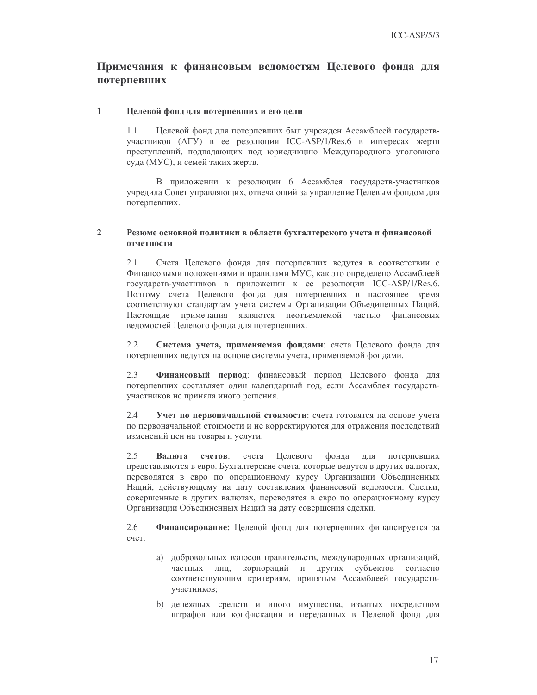## Примечания к финансовым ведомостям Целевого фонда для потерпевших

#### $\mathbf{1}$ Целевой фонд для потерпевших и его цели

Целевой фонд для потерпевших был учрежден Ассамблеей государств- $1<sub>1</sub>$ участников (AГУ) в ее резолюции ICC-ASP/1/Res.6 в интересах жертв преступлений, подпадающих под юрисдикцию Международного уголовного суда (МУС), и семей таких жертв.

В приложении к резолюции 6 Ассамблея государств-участников учредила Совет управляющих, отвечающий за управление Целевым фондом для потерпевших.

#### $\overline{2}$ Резюме основной политики в области бухгалтерского учета и финансовой отчетности

 $2.1$ Счета Целевого фонда для потерпевших ведутся в соответствии с Финансовыми положениями и правилами МУС, как это определено Ассамблеей государств-участников в приложении к ее резолюции ICC-ASP/1/Res.6. Поэтому счета Целевого фонда для потерпевших в настоящее время соответствуют стандартам учета системы Организации Объединенных Наций. Настоящие примечания являются неотъемлемой частью финансовых ведомостей Целевого фонда для потерпевших.

 $2.2$ Система учета, применяемая фондами: счета Целевого фонда для потерпевших ведутся на основе системы учета, применяемой фондами.

 $2.3$ Финансовый период: финансовый период Целевого фонда для потерпевших составляет один календарный год, если Ассамблея государствучастников не приняла иного решения.

 $2.4$ Учет по первоначальной стоимости: счета готовятся на основе учета по первоначальной стоимости и не корректируются для отражения последствий изменений цен на товары и услуги.

 $2.5$ Валюта счета Целевого фонда счетов: ДЛЯ потерпевших представляются в евро. Бухгалтерские счета, которые ведутся в других валютах, переводятся в евро по операционному курсу Организации Объединенных Наций, действующему на дату составления финансовой ведомости. Сделки, совершенные в других валютах, переводятся в евро по операционному курсу Организации Объединенных Наций на дату совершения сделки.

2.6 Финансирование: Целевой фонд для потерпевших финансируется за счет:

- а) добровольных взносов правительств, международных организаций, корпораций и других субъектов согласно частных лиц, соответствующим критериям, принятым Ассамблеей государствучастников;
- b) денежных средств и иного имущества, изъятых посредством штрафов или конфискации и переданных в Целевой фонд для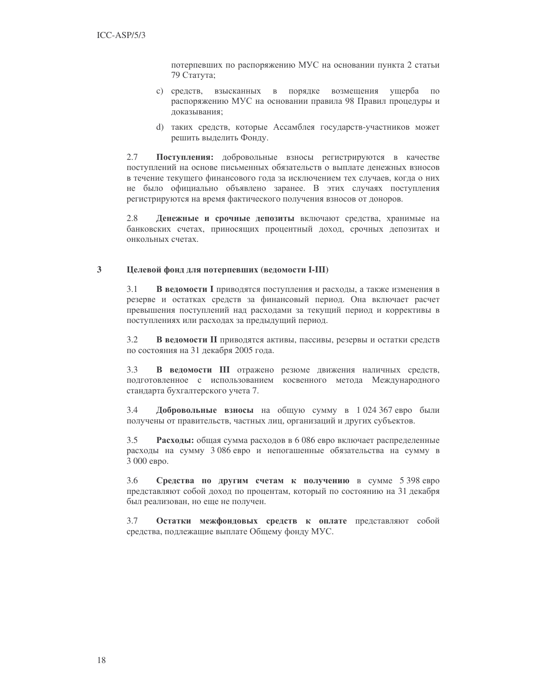потерпевших по распоряжению МУС на основании пункта 2 статьи 79 Статута;

- с) средств, взысканных в порядке возмещения ущерба по распоряжению МУС на основании правила 98 Правил процедуры и доказывания;
- d) таких средств, которые Ассамблея государств-участников может решить выделить Фонду.

 $2.7$ Поступления: добровольные взносы регистрируются в качестве поступлений на основе письменных обязательств о выплате денежных взносов в течение текущего финансового года за исключением тех случаев, когда о них не было официально объявлено заранее. В этих случаях поступления регистрируются на время фактического получения взносов от доноров.

2.8 Денежные и срочные депозиты включают средства, хранимые на банковских счетах, приносящих процентный доход, срочных депозитах и онкольных счетах.

#### 3 Целевой фонд для потерпевших (ведомости I-III)

 $3.1$ В ведомости I приводятся поступления и расходы, а также изменения в резерве и остатках средств за финансовый период. Она включает расчет превышения поступлений над расходами за текущий период и коррективы в поступлениях или расходах за предыдущий период.

В ведомости II приводятся активы, пассивы, резервы и остатки средств  $3.2$ по состояния на 31 декабря 2005 года.

33 В ведомости III отражено резюме движения наличных средств, подготовленное с использованием косвенного метода Международного стандарта бухгалтерского учета 7.

Добровольные взносы на общую сумму в 1024 367 евро были  $3.4$ получены от правительств, частных лиц, организаций и других субъектов.

 $3.5$ Расходы: общая сумма расходов в 6 086 евро включает распределенные расходы на сумму 3 086 евро и непогашенные обязательства на сумму в 3 000 евро.

3.6 Средства по другим счетам к получению в сумме 5398 евро представляют собой доход по процентам, который по состоянию на 31 декабря был реализован, но еще не получен.

3.7 Остатки межфондовых средств к оплате представляют собой средства, подлежащие выплате Общему фонду МУС.